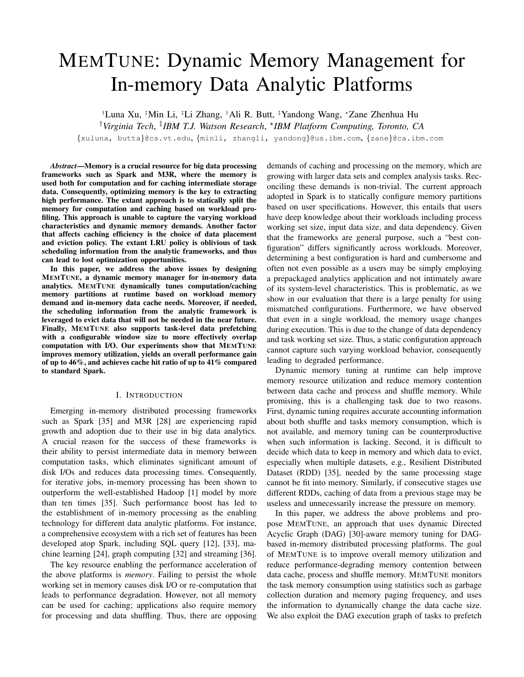# MEMTUNE: Dynamic Memory Management for In-memory Data Analytic Platforms

†Luna Xu, ‡Min Li, ‡Li Zhang, †Ali R. Butt, ‡Yandong Wang, ?Zane Zhenhua Hu

†*Virginia Tech*, ‡ *IBM T.J. Watson Research*, ? *IBM Platform Computing, Toronto, CA*

{xuluna, butta}@cs.vt.edu, {minli, zhangli, yandong}@us.ibm.com, {zane}@ca.ibm.com

*Abstract*—Memory is a crucial resource for big data processing frameworks such as Spark and M3R, where the memory is used both for computation and for caching intermediate storage data. Consequently, optimizing memory is the key to extracting high performance. The extant approach is to statically split the memory for computation and caching based on workload profiling. This approach is unable to capture the varying workload characteristics and dynamic memory demands. Another factor that affects caching efficiency is the choice of data placement and eviction policy. The extant LRU policy is oblivious of task scheduling information from the analytic frameworks, and thus can lead to lost optimization opportunities.

In this paper, we address the above issues by designing MEMTUNE, a dynamic memory manager for in-memory data analytics. MEMTUNE dynamically tunes computation/caching memory partitions at runtime based on workload memory demand and in-memory data cache needs. Moreover, if needed, the scheduling information from the analytic framework is leveraged to evict data that will not be needed in the near future. Finally, MEMTUNE also supports task-level data prefetching with a configurable window size to more effectively overlap computation with I/O. Our experiments show that MEMTUNE improves memory utilization, yields an overall performance gain of up to 46%, and achieves cache hit ratio of up to 41% compared to standard Spark.

## I. INTRODUCTION

Emerging in-memory distributed processing frameworks such as Spark [35] and M3R [28] are experiencing rapid growth and adoption due to their use in big data analytics. A crucial reason for the success of these frameworks is their ability to persist intermediate data in memory between computation tasks, which eliminates significant amount of disk I/Os and reduces data processing times. Consequently, for iterative jobs, in-memory processing has been shown to outperform the well-established Hadoop [1] model by more than ten times [35]. Such performance boost has led to the establishment of in-memory processing as the enabling technology for different data analytic platforms. For instance, a comprehensive ecosystem with a rich set of features has been developed atop Spark, including SQL query [12], [33], machine learning [24], graph computing [32] and streaming [36].

The key resource enabling the performance acceleration of the above platforms is *memory*. Failing to persist the whole working set in memory causes disk I/O or re-computation that leads to performance degradation. However, not all memory can be used for caching; applications also require memory for processing and data shuffling. Thus, there are opposing

demands of caching and processing on the memory, which are growing with larger data sets and complex analysis tasks. Reconciling these demands is non-trivial. The current approach adopted in Spark is to statically configure memory partitions based on user specifications. However, this entails that users have deep knowledge about their workloads including process working set size, input data size, and data dependency. Given that the frameworks are general purpose, such a "best configuration" differs significantly across workloads. Moreover, determining a best configuration is hard and cumbersome and often not even possible as a users may be simply employing a prepackaged analytics application and not intimately aware of its system-level characteristics. This is problematic, as we show in our evaluation that there is a large penalty for using mismatched configurations. Furthermore, we have observed that even in a single workload, the memory usage changes during execution. This is due to the change of data dependency and task working set size. Thus, a static configuration approach cannot capture such varying workload behavior, consequently leading to degraded performance.

Dynamic memory tuning at runtime can help improve memory resource utilization and reduce memory contention between data cache and process and shuffle memory. While promising, this is a challenging task due to two reasons. First, dynamic tuning requires accurate accounting information about both shuffle and tasks memory consumption, which is not available, and memory tuning can be counterproductive when such information is lacking. Second, it is difficult to decide which data to keep in memory and which data to evict, especially when multiple datasets, e.g., Resilient Distributed Dataset (RDD) [35], needed by the same processing stage cannot be fit into memory. Similarly, if consecutive stages use different RDDs, caching of data from a previous stage may be useless and unnecessarily increase the pressure on memory.

In this paper, we address the above problems and propose MEMTUNE, an approach that uses dynamic Directed Acyclic Graph (DAG) [30]-aware memory tuning for DAGbased in-memory distributed processing platforms. The goal of MEMTUNE is to improve overall memory utilization and reduce performance-degrading memory contention between data cache, process and shuffle memory. MEMTUNE monitors the task memory consumption using statistics such as garbage collection duration and memory paging frequency, and uses the information to dynamically change the data cache size. We also exploit the DAG execution graph of tasks to prefetch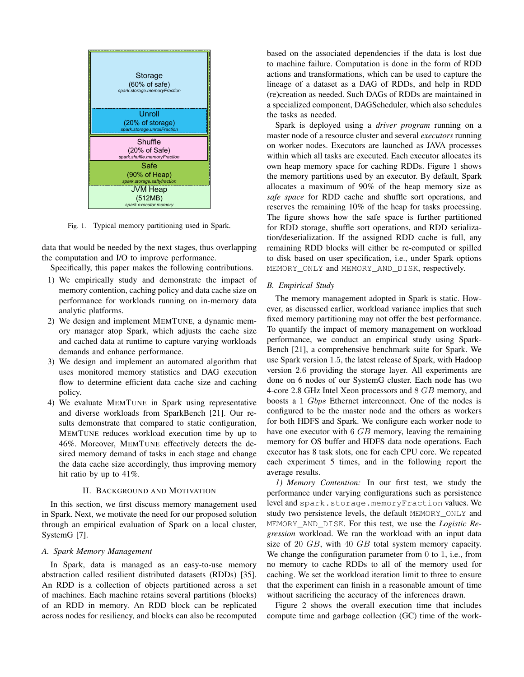

Fig. 1. Typical memory partitioning used in Spark.

data that would be needed by the next stages, thus overlapping the computation and I/O to improve performance.

Specifically, this paper makes the following contributions.

- 1) We empirically study and demonstrate the impact of memory contention, caching policy and data cache size on performance for workloads running on in-memory data analytic platforms.
- 2) We design and implement MEMTUNE, a dynamic memory manager atop Spark, which adjusts the cache size and cached data at runtime to capture varying workloads demands and enhance performance.
- 3) We design and implement an automated algorithm that uses monitored memory statistics and DAG execution flow to determine efficient data cache size and caching policy.
- 4) We evaluate MEMTUNE in Spark using representative and diverse workloads from SparkBench [21]. Our results demonstrate that compared to static configuration, MEMTUNE reduces workload execution time by up to 46%. Moreover, MEMTUNE effectively detects the desired memory demand of tasks in each stage and change the data cache size accordingly, thus improving memory hit ratio by up to 41%.

## II. BACKGROUND AND MOTIVATION

In this section, we first discuss memory management used in Spark. Next, we motivate the need for our proposed solution through an empirical evaluation of Spark on a local cluster, SystemG [7].

# *A. Spark Memory Management*

In Spark, data is managed as an easy-to-use memory abstraction called resilient distributed datasets (RDDs) [35]. An RDD is a collection of objects partitioned across a set of machines. Each machine retains several partitions (blocks) of an RDD in memory. An RDD block can be replicated across nodes for resiliency, and blocks can also be recomputed based on the associated dependencies if the data is lost due to machine failure. Computation is done in the form of RDD actions and transformations, which can be used to capture the lineage of a dataset as a DAG of RDDs, and help in RDD (re)creation as needed. Such DAGs of RDDs are maintained in a specialized component, DAGScheduler, which also schedules the tasks as needed.

Spark is deployed using a *driver program* running on a master node of a resource cluster and several *executors* running on worker nodes. Executors are launched as JAVA processes within which all tasks are executed. Each executor allocates its own heap memory space for caching RDDs. Figure 1 shows the memory partitions used by an executor. By default, Spark allocates a maximum of 90% of the heap memory size as *safe space* for RDD cache and shuffle sort operations, and reserves the remaining 10% of the heap for tasks processing. The figure shows how the safe space is further partitioned for RDD storage, shuffle sort operations, and RDD serialization/deserialization. If the assigned RDD cache is full, any remaining RDD blocks will either be re-computed or spilled to disk based on user specification, i.e., under Spark options MEMORY\_ONLY and MEMORY\_AND\_DISK, respectively.

#### *B. Empirical Study*

The memory management adopted in Spark is static. However, as discussed earlier, workload variance implies that such fixed memory partitioning may not offer the best performance. To quantify the impact of memory management on workload performance, we conduct an empirical study using Spark-Bench [21], a comprehensive benchmark suite for Spark. We use Spark version 1.5, the latest release of Spark, with Hadoop version 2.6 providing the storage layer. All experiments are done on 6 nodes of our SystemG cluster. Each node has two 4-core 2.8 GHz Intel Xeon processors and 8 GB memory, and boosts a 1 Gbps Ethernet interconnect. One of the nodes is configured to be the master node and the others as workers for both HDFS and Spark. We configure each worker node to have one executor with 6 GB memory, leaving the remaining memory for OS buffer and HDFS data node operations. Each executor has 8 task slots, one for each CPU core. We repeated each experiment 5 times, and in the following report the average results.

*1) Memory Contention:* In our first test, we study the performance under varying configurations such as persistence level and spark.storage.memoryFraction values. We study two persistence levels, the default MEMORY\_ONLY and MEMORY\_AND\_DISK. For this test, we use the *Logistic Regression* workload. We ran the workload with an input data size of 20 GB, with 40 GB total system memory capacity. We change the configuration parameter from 0 to 1, i.e., from no memory to cache RDDs to all of the memory used for caching. We set the workload iteration limit to three to ensure that the experiment can finish in a reasonable amount of time without sacrificing the accuracy of the inferences drawn.

Figure 2 shows the overall execution time that includes compute time and garbage collection (GC) time of the work-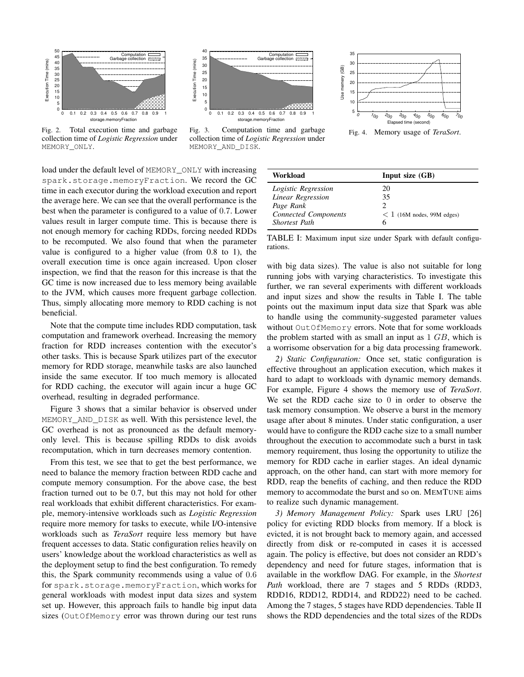

Fig. 2. Total execution time and garbage collection time of *Logistic Regression* under

MEMORY\_ONLY.

 40 Computation I<br>Garbage collection t 35 Execution Time (mins) Execution Time (mins) 30 25 20 15 10 5 <u>still Start og Sve</u>  $0\frac{1}{0}$  0 0.1 0.2 0.3 0.4 0.5 0.6 0.7 0.8 0.9 1 storage.memoryFra

Fig. 3. Computation time and garbage collection time of *Logistic Regression* under MEMORY\_AND\_DISK.



Fig. 4. Memory usage of *TeraSort*.

load under the default level of MEMORY\_ONLY with increasing spark.storage.memoryFraction. We record the GC time in each executor during the workload execution and report the average here. We can see that the overall performance is the best when the parameter is configured to a value of 0.7. Lower values result in larger compute time. This is because there is not enough memory for caching RDDs, forcing needed RDDs to be recomputed. We also found that when the parameter value is configured to a higher value (from 0.8 to 1), the overall execution time is once again increased. Upon closer inspection, we find that the reason for this increase is that the GC time is now increased due to less memory being available to the JVM, which causes more frequent garbage collection. Thus, simply allocating more memory to RDD caching is not beneficial.

Note that the compute time includes RDD computation, task computation and framework overhead. Increasing the memory fraction for RDD increases contention with the executor's other tasks. This is because Spark utilizes part of the executor memory for RDD storage, meanwhile tasks are also launched inside the same executor. If too much memory is allocated for RDD caching, the executor will again incur a huge GC overhead, resulting in degraded performance.

Figure 3 shows that a similar behavior is observed under MEMORY\_AND\_DISK as well. With this persistence level, the GC overhead is not as pronounced as the default memoryonly level. This is because spilling RDDs to disk avoids recomputation, which in turn decreases memory contention.

From this test, we see that to get the best performance, we need to balance the memory fraction between RDD cache and compute memory consumption. For the above case, the best fraction turned out to be 0.7, but this may not hold for other real workloads that exhibit different characteristics. For example, memory-intensive workloads such as *Logistic Regression* require more memory for tasks to execute, while I/O-intensive workloads such as *TeraSort* require less memory but have frequent accesses to data. Static configuration relies heavily on users' knowledge about the workload characteristics as well as the deployment setup to find the best configuration. To remedy this, the Spark community recommends using a value of 0.6 for spark.storage.memoryFraction, which works for general workloads with modest input data sizes and system set up. However, this approach fails to handle big input data sizes (OutOfMemory error was thrown during our test runs

| Workload                    | Input size $(GB)$               |
|-----------------------------|---------------------------------|
| Logistic Regression         | 20                              |
| Linear Regression           | 35                              |
| Page Rank                   |                                 |
| <b>Connected Components</b> | $\leq 1$ (16M nodes, 99M edges) |
| <b>Shortest</b> Path        |                                 |

TABLE I: Maximum input size under Spark with default configurations.

with big data sizes). The value is also not suitable for long running jobs with varying characteristics. To investigate this further, we ran several experiments with different workloads and input sizes and show the results in Table I. The table points out the maximum input data size that Spark was able to handle using the community-suggested parameter values without OutOfMemory errors. Note that for some workloads the problem started with as small an input as 1 GB, which is a worrisome observation for a big data processing framework.

*2) Static Configuration:* Once set, static configuration is effective throughout an application execution, which makes it hard to adapt to workloads with dynamic memory demands. For example, Figure 4 shows the memory use of *TeraSort*. We set the RDD cache size to 0 in order to observe the task memory consumption. We observe a burst in the memory usage after about 8 minutes. Under static configuration, a user would have to configure the RDD cache size to a small number throughout the execution to accommodate such a burst in task memory requirement, thus losing the opportunity to utilize the memory for RDD cache in earlier stages. An ideal dynamic approach, on the other hand, can start with more memory for RDD, reap the benefits of caching, and then reduce the RDD memory to accommodate the burst and so on. MEMTUNE aims to realize such dynamic management.

*3) Memory Management Policy:* Spark uses LRU [26] policy for evicting RDD blocks from memory. If a block is evicted, it is not brought back to memory again, and accessed directly from disk or re-computed in cases it is accessed again. The policy is effective, but does not consider an RDD's dependency and need for future stages, information that is available in the workflow DAG. For example, in the *Shortest Path* workload, there are 7 stages and 5 RDDs (RDD3, RDD16, RDD12, RDD14, and RDD22) need to be cached. Among the 7 stages, 5 stages have RDD dependencies. Table II shows the RDD dependencies and the total sizes of the RDDs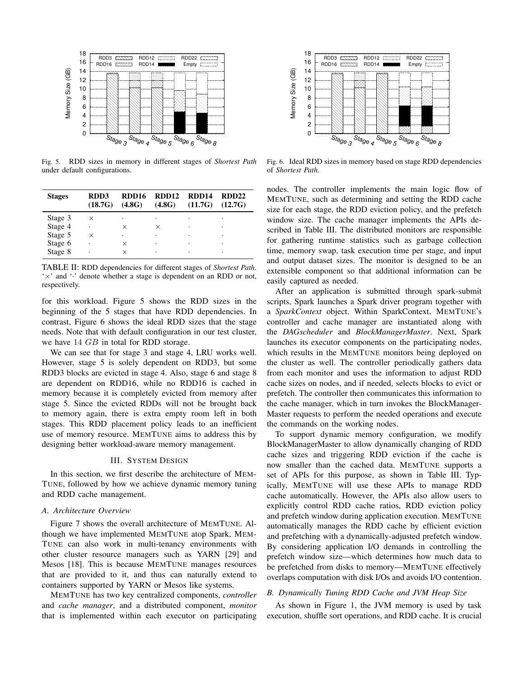

Fig. 5. RDD sizes in memory in different stages of *Shortest Path* under default configurations.

| <b>Stages</b> | RDD3<br>(18.7G) | RDD16<br>(4.8G) | RDD <sub>12</sub><br>(4.8G) | RDD14<br>(11.7G) | RDD <sub>22</sub><br>(12.7G) |
|---------------|-----------------|-----------------|-----------------------------|------------------|------------------------------|
| Stage 3       | ×               |                 |                             |                  |                              |
| Stage 4       | ٠               | $\times$        | $\times$                    | ٠                |                              |
| Stage 5       | $\times$        |                 | ٠                           |                  |                              |
| Stage 6       |                 | ×               | ٠                           |                  |                              |
| Stage 8       |                 |                 | ٠                           |                  |                              |

TABLE II: RDD dependencies for different stages of *Shortest Path*. ' $\times$ ' and ' $\cdot$ ' denote whether a stage is dependent on an RDD or not, respectively.

for this workload. Figure 5 shows the RDD sizes in the beginning of the 5 stages that have RDD dependencies. In contrast, Figure 6 shows the ideal RDD sizes that the stage needs. Note that with default configuration in our test cluster, we have 14 *GB* in total for RDD storage.

We can see that for stage 3 and stage 4, LRU works well. However, stage 5 is solely dependent on RDD3, but some RDD3 blocks are evicted in stage 4. Also, stage 6 and stage 8 are dependent on RDD16, while no RDD16 is cached in memory because it is completely evicted from memory after stage 5. Since the evicted RDDs will not be brought back to memory again, there is extra empty room left in both stages. This RDD placement policy leads to an inefficient use of memory resource. MEMTUNE aims to address this by designing better workload-aware memory management.

## III. SYSTEM DESIGN

In this section, we first describe the architecture of MEM-TUNE, followed by how we achieve dynamic memory tuning and RDD cache management.

#### *A. Architecture Overview*

Figure 7 shows the overall architecture of MEMTUNE. Although we have implemented MEMTUNE atop Spark, MEM-TUNE can also work in multi-tenancy environments with other cluster resource managers such as YARN [29] and Mesos [18]. This is because MEMTUNE manages resources that are provided to it, and thus can naturally extend to containers supported by YARN or Mesos like systems.

MEMTUNE has two key centralized components, *controller* and *cache manager*, and a distributed component, *monitor* that is implemented within each executor on participating



Fig. 6. Ideal RDD sizes in memory based on stage RDD dependencies of *Shortest Path*.

nodes. The controller implements the main logic flow of MEMTUNE, such as determining and setting the RDD cache size for each stage, the RDD eviction policy, and the prefetch window size. The cache manager implements the APIs described in Table III. The distributed monitors are responsible for gathering runtime statistics such as garbage collection time, memory swap, task execution time per stage, and input and output dataset sizes. The monitor is designed to be an extensible component so that additional information can be easily captured as needed.

After an application is submitted through spark-submit scripts, Spark launches a Spark driver program together with a *SparkContext* object. Within SparkContext, MEMTUNE's controller and cache manager are instantiated along with the *DAGscheduler* and *BlockManagerMaster*. Next, Spark launches its executor components on the participating nodes, which results in the MEMTUNE monitors being deployed on the cluster as well. The controller periodically gathers data from each monitor and uses the information to adjust RDD cache sizes on nodes, and if needed, selects blocks to evict or prefetch. The controller then communicates this information to the cache manager, which in turn invokes the BlockManager-Master requests to perform the needed operations and execute the commands on the working nodes.

To support dynamic memory configuration, we modify BlockManagerMaster to allow dynamically changing of RDD cache sizes and triggering RDD eviction if the cache is now smaller than the cached data. MEMTUNE supports a set of APIs for this purpose, as shown in Table III. Typically, MEMTUNE will use these APIs to manage RDD cache automatically. However, the APIs also allow users to explicitly control RDD cache ratios, RDD eviction policy and prefetch window during application execution. MEMTUNE automatically manages the RDD cache by efficient eviction and prefetching with a dynamically-adjusted prefetch window. By considering application I/O demands in controlling the prefetch window size—which determines how much data to be prefetched from disks to memory—MEMTUNE effectively overlaps computation with disk I/Os and avoids I/O contention.

#### *B. Dynamically Tuning RDD Cache and JVM Heap Size*

As shown in Figure 1, the JVM memory is used by task execution, shuffle sort operations, and RDD cache. It is crucial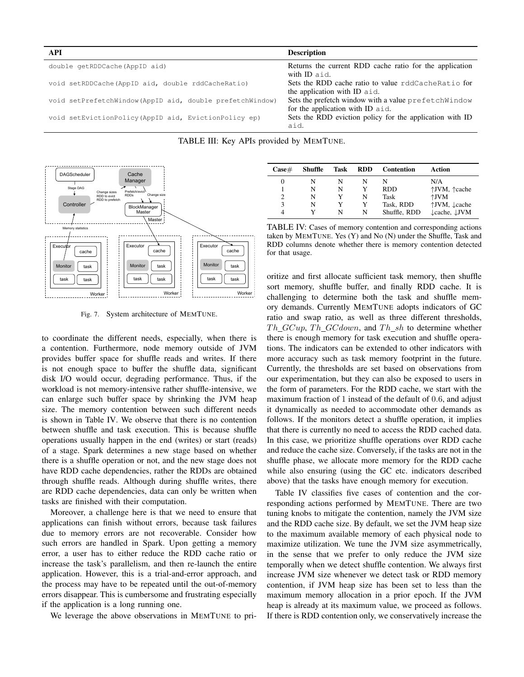| API                                                      | <b>Description</b>                                                                        |
|----------------------------------------------------------|-------------------------------------------------------------------------------------------|
| double getRDDCache (AppID aid)                           | Returns the current RDD cache ratio for the application<br>with ID aid.                   |
| void setRDDCache (AppID aid, double rddCacheRatio)       | Sets the RDD cache ratio to value rddCacheRatio for<br>the application with ID aid.       |
| void setPrefetchWindow(AppID aid, double prefetchWindow) | Sets the prefetch window with a value prefetch Window<br>for the application with ID aid. |
| void setEvictionPolicy (AppID aid, EvictionPolicy ep)    | Sets the RDD eviction policy for the application with ID<br>aid.                          |





Fig. 7. System architecture of MEMTUNE.

to coordinate the different needs, especially, when there is a contention. Furthermore, node memory outside of JVM provides buffer space for shuffle reads and writes. If there is not enough space to buffer the shuffle data, significant disk I/O would occur, degrading performance. Thus, if the workload is not memory-intensive rather shuffle-intensive, we can enlarge such buffer space by shrinking the JVM heap size. The memory contention between such different needs is shown in Table IV. We observe that there is no contention between shuffle and task execution. This is because shuffle operations usually happen in the end (writes) or start (reads) of a stage. Spark determines a new stage based on whether there is a shuffle operation or not, and the new stage does not have RDD cache dependencies, rather the RDDs are obtained through shuffle reads. Although during shuffle writes, there are RDD cache dependencies, data can only be written when tasks are finished with their computation.

Moreover, a challenge here is that we need to ensure that applications can finish without errors, because task failures due to memory errors are not recoverable. Consider how such errors are handled in Spark. Upon getting a memory error, a user has to either reduce the RDD cache ratio or increase the task's parallelism, and then re-launch the entire application. However, this is a trial-and-error approach, and the process may have to be repeated until the out-of-memory errors disappear. This is cumbersome and frustrating especially if the application is a long running one.

We leverage the above observations in MEMTUNE to pri-

| $\bf Case \#$ | Shuffle | Task | <b>RDD</b> | Contention   | Action                               |
|---------------|---------|------|------------|--------------|--------------------------------------|
| 0             | N       | N    | N          | N            | N/A                                  |
|               | N       | N    | Y          | RDD          | ↑JVM, ↑cache                         |
|               | N       |      | N          | Task         | $\dagger$ JVM                        |
| 3             | N       |      | Y          | Task, RDD    | ↑JVM, ↓cache                         |
| 4             |         | N    | N          | Shuffle, RDD | $\downarrow$ cache, $\downarrow$ JVM |

TABLE IV: Cases of memory contention and corresponding actions taken by MEMTUNE. Yes (Y) and No (N) under the Shuffle, Task and RDD columns denote whether there is memory contention detected for that usage.

oritize and first allocate sufficient task memory, then shuffle sort memory, shuffle buffer, and finally RDD cache. It is challenging to determine both the task and shuffle memory demands. Currently MEMTUNE adopts indicators of GC ratio and swap ratio, as well as three different thresholds,  $Th_GCup$ ,  $Th_GCdown$ , and  $Th<sub>h</sub>sh$  to determine whether there is enough memory for task execution and shuffle operations. The indicators can be extended to other indicators with more accuracy such as task memory footprint in the future. Currently, the thresholds are set based on observations from our experimentation, but they can also be exposed to users in the form of parameters. For the RDD cache, we start with the maximum fraction of 1 instead of the default of 0.6, and adjust it dynamically as needed to accommodate other demands as follows. If the monitors detect a shuffle operation, it implies that there is currently no need to access the RDD cached data. In this case, we prioritize shuffle operations over RDD cache and reduce the cache size. Conversely, if the tasks are not in the shuffle phase, we allocate more memory for the RDD cache while also ensuring (using the GC etc. indicators described above) that the tasks have enough memory for execution.

Table IV classifies five cases of contention and the corresponding actions performed by MEMTUNE. There are two tuning knobs to mitigate the contention, namely the JVM size and the RDD cache size. By default, we set the JVM heap size to the maximum available memory of each physical node to maximize utilization. We tune the JVM size asymmetrically, in the sense that we prefer to only reduce the JVM size temporally when we detect shuffle contention. We always first increase JVM size whenever we detect task or RDD memory contention, if JVM heap size has been set to less than the maximum memory allocation in a prior epoch. If the JVM heap is already at its maximum value, we proceed as follows. If there is RDD contention only, we conservatively increase the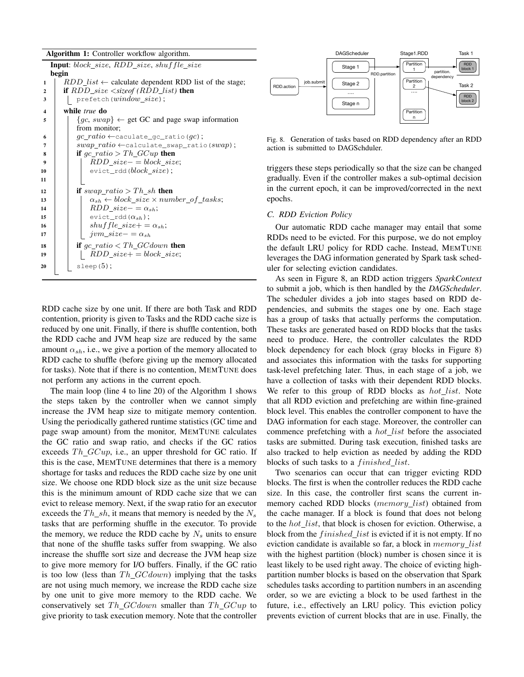#### Algorithm 1: Controller workflow algorithm.

```
Input: block\_size, RDD\_size, shuffle\_sizebegin
1 RDD_list \leftarrow calculate dependent RDD list of the stage;
2 if RDD_size <sizeof (RDD_list) then
3 \mid prefetch(window_size);
4 while true do
\{g \in \{gc, swap\} \leftarrow \emptyset get GC and page swap information
          from monitor;
 6 \vert \vert gc\_ratio \leftarrowcaculate_gc_ratio(gc);
7 | | swap\_ratio \leftarrowcalculate_swap_ratio(swap);
8 if gc\_ratio > Th\_GCup then
             RDD\_size- = block\_size;10 | evict_rdd(block_size);
11
12 if swap\_ratio > Th\_sh then
13 \vert \vert \alpha_{sh} \leftarrow block\_size \times number\_of\_tasks;14 | | RDD\_size- = \alpha_{sh};15 | evict_rdd(\alpha_{sh});
16 | | shuffle\_size+=\alpha_{sh};17 | jvm_size− = \alpha_{sh}18 if qc\_ratio < Th\_GCdown then
19 | | RDD\_size+=block\_size;20 | \vert sleep(5);
```
RDD cache size by one unit. If there are both Task and RDD contention, priority is given to Tasks and the RDD cache size is reduced by one unit. Finally, if there is shuffle contention, both the RDD cache and JVM heap size are reduced by the same amount  $\alpha_{sh}$ , i.e., we give a portion of the memory allocated to RDD cache to shuffle (before giving up the memory allocated for tasks). Note that if there is no contention, MEMTUNE does not perform any actions in the current epoch.

The main loop (line 4 to line 20) of the Algorithm 1 shows the steps taken by the controller when we cannot simply increase the JVM heap size to mitigate memory contention. Using the periodically gathered runtime statistics (GC time and page swap amount) from the monitor, MEMTUNE calculates the GC ratio and swap ratio, and checks if the GC ratios exceeds  $Th_GCup$ , i.e., an upper threshold for GC ratio. If this is the case, MEMTUNE determines that there is a memory shortage for tasks and reduces the RDD cache size by one unit size. We choose one RDD block size as the unit size because this is the minimum amount of RDD cache size that we can evict to release memory. Next, if the swap ratio for an executor exceeds the  $Th\_sh$ , it means that memory is needed by the  $N_s$ tasks that are performing shuffle in the executor. To provide the memory, we reduce the RDD cache by  $N_s$  units to ensure that none of the shuffle tasks suffer from swapping. We also increase the shuffle sort size and decrease the JVM heap size to give more memory for I/O buffers. Finally, if the GC ratio is too low (less than  $Th \ GCdown$ ) implying that the tasks are not using much memory, we increase the RDD cache size by one unit to give more memory to the RDD cache. We conservatively set  $Th_GCdown$  smaller than  $Th_GCup$  to give priority to task execution memory. Note that the controller



Fig. 8. Generation of tasks based on RDD dependency after an RDD action is submitted to DAGSchduler.

triggers these steps periodically so that the size can be changed gradually. Even if the controller makes a sub-optimal decision in the current epoch, it can be improved/corrected in the next epochs.

## *C. RDD Eviction Policy*

Our automatic RDD cache manager may entail that some RDDs need to be evicted. For this purpose, we do not employ the default LRU policy for RDD cache. Instead, MEMTUNE leverages the DAG information generated by Spark task scheduler for selecting eviction candidates.

As seen in Figure 8, an RDD action triggers *SparkContext* to submit a job, which is then handled by the *DAGScheduler*. The scheduler divides a job into stages based on RDD dependencies, and submits the stages one by one. Each stage has a group of tasks that actually performs the computation. These tasks are generated based on RDD blocks that the tasks need to produce. Here, the controller calculates the RDD block dependency for each block (gray blocks in Figure 8) and associates this information with the tasks for supporting task-level prefetching later. Thus, in each stage of a job, we have a collection of tasks with their dependent RDD blocks. We refer to this group of RDD blocks as  $hot\_list$ . Note that all RDD eviction and prefetching are within fine-grained block level. This enables the controller component to have the DAG information for each stage. Moreover, the controller can commence prefetching with a *hot\_list* before the associated tasks are submitted. During task execution, finished tasks are also tracked to help eviction as needed by adding the RDD blocks of such tasks to a *finished list*.

Two scenarios can occur that can trigger evicting RDD blocks. The first is when the controller reduces the RDD cache size. In this case, the controller first scans the current inmemory cached RDD blocks (memory\_list) obtained from the cache manager. If a block is found that does not belong to the hot list, that block is chosen for eviction. Otherwise, a block from the  $finished\_list$  is evicted if it is not empty. If no eviction candidate is available so far, a block in  $memory\_list$ with the highest partition (block) number is chosen since it is least likely to be used right away. The choice of evicting highpartition number blocks is based on the observation that Spark schedules tasks according to partition numbers in an ascending order, so we are evicting a block to be used farthest in the future, i.e., effectively an LRU policy. This eviction policy prevents eviction of current blocks that are in use. Finally, the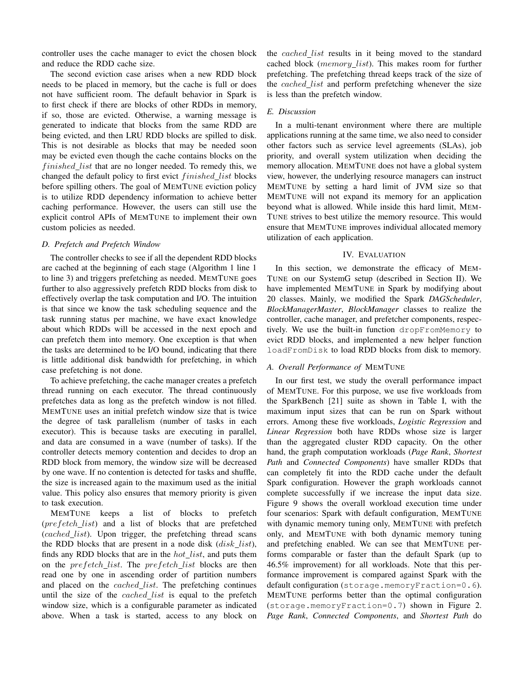controller uses the cache manager to evict the chosen block and reduce the RDD cache size.

The second eviction case arises when a new RDD block needs to be placed in memory, but the cache is full or does not have sufficient room. The default behavior in Spark is to first check if there are blocks of other RDDs in memory, if so, those are evicted. Otherwise, a warning message is generated to indicate that blocks from the same RDD are being evicted, and then LRU RDD blocks are spilled to disk. This is not desirable as blocks that may be needed soon may be evicted even though the cache contains blocks on the *finished\_list* that are no longer needed. To remedy this, we changed the default policy to first evict finished\_list blocks before spilling others. The goal of MEMTUNE eviction policy is to utilize RDD dependency information to achieve better caching performance. However, the users can still use the explicit control APIs of MEMTUNE to implement their own custom policies as needed.

## *D. Prefetch and Prefetch Window*

The controller checks to see if all the dependent RDD blocks are cached at the beginning of each stage (Algorithm 1 line 1 to line 3) and triggers prefetching as needed. MEMTUNE goes further to also aggressively prefetch RDD blocks from disk to effectively overlap the task computation and I/O. The intuition is that since we know the task scheduling sequence and the task running status per machine, we have exact knowledge about which RDDs will be accessed in the next epoch and can prefetch them into memory. One exception is that when the tasks are determined to be I/O bound, indicating that there is little additional disk bandwidth for prefetching, in which case prefetching is not done.

To achieve prefetching, the cache manager creates a prefetch thread running on each executor. The thread continuously prefetches data as long as the prefetch window is not filled. MEMTUNE uses an initial prefetch window size that is twice the degree of task parallelism (number of tasks in each executor). This is because tasks are executing in parallel, and data are consumed in a wave (number of tasks). If the controller detects memory contention and decides to drop an RDD block from memory, the window size will be decreased by one wave. If no contention is detected for tasks and shuffle, the size is increased again to the maximum used as the initial value. This policy also ensures that memory priority is given to task execution.

MEMTUNE keeps a list of blocks to prefetch (prefetch list) and a list of blocks that are prefetched (cached\_list). Upon trigger, the prefetching thread scans the RDD blocks that are present in a node disk  $(disk\_list)$ , finds any RDD blocks that are in the  $hot\_list$ , and puts them on the *prefetch\_list*. The *prefetch\_list* blocks are then read one by one in ascending order of partition numbers and placed on the *cached list*. The prefetching continues until the size of the *cached list* is equal to the prefetch window size, which is a configurable parameter as indicated above. When a task is started, access to any block on

the cached list results in it being moved to the standard cached block (memory\_list). This makes room for further prefetching. The prefetching thread keeps track of the size of the cached\_list and perform prefetching whenever the size is less than the prefetch window.

# *E. Discussion*

In a multi-tenant environment where there are multiple applications running at the same time, we also need to consider other factors such as service level agreements (SLAs), job priority, and overall system utilization when deciding the memory allocation. MEMTUNE does not have a global system view, however, the underlying resource managers can instruct MEMTUNE by setting a hard limit of JVM size so that MEMTUNE will not expand its memory for an application beyond what is allowed. While inside this hard limit, MEM-TUNE strives to best utilize the memory resource. This would ensure that MEMTUNE improves individual allocated memory utilization of each application.

# IV. EVALUATION

In this section, we demonstrate the efficacy of MEM-TUNE on our SystemG setup (described in Section II). We have implemented MEMTUNE in Spark by modifying about 20 classes. Mainly, we modified the Spark *DAGScheduler*, *BlockManagerMaster*, *BlockManager* classes to realize the controller, cache manager, and prefetcher components, respectively. We use the built-in function dropFromMemory to evict RDD blocks, and implemented a new helper function loadFromDisk to load RDD blocks from disk to memory.

# *A. Overall Performance of* MEMTUNE

In our first test, we study the overall performance impact of MEMTUNE. For this purpose, we use five workloads from the SparkBench [21] suite as shown in Table I, with the maximum input sizes that can be run on Spark without errors. Among these five workloads, *Logistic Regression* and *Linear Regression* both have RDDs whose size is larger than the aggregated cluster RDD capacity. On the other hand, the graph computation workloads (*Page Rank*, *Shortest Path* and *Connected Components*) have smaller RDDs that can completely fit into the RDD cache under the default Spark configuration. However the graph workloads cannot complete successfully if we increase the input data size. Figure 9 shows the overall workload execution time under four scenarios: Spark with default configuration, MEMTUNE with dynamic memory tuning only, MEMTUNE with prefetch only, and MEMTUNE with both dynamic memory tuning and prefetching enabled. We can see that MEMTUNE performs comparable or faster than the default Spark (up to 46.5% improvement) for all workloads. Note that this performance improvement is compared against Spark with the default configuration (storage.memoryFraction=0.6). MEMTUNE performs better than the optimal configuration (storage.memoryFraction=0.7) shown in Figure 2. *Page Rank*, *Connected Components*, and *Shortest Path* do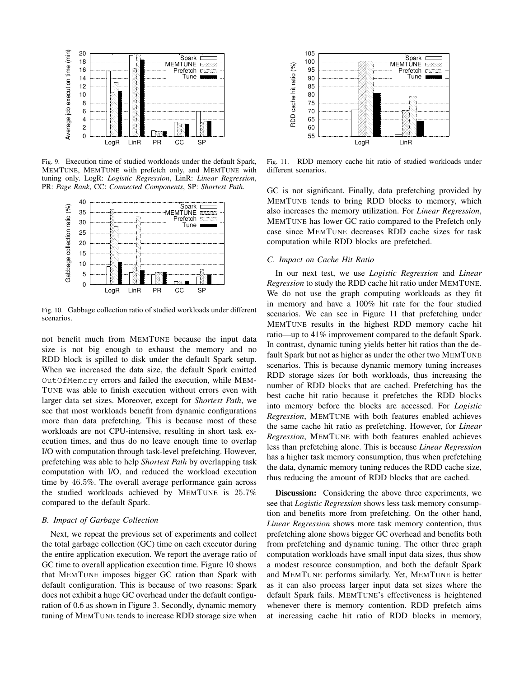

Fig. 9. Execution time of studied workloads under the default Spark, MEMTUNE, MEMTUNE with prefetch only, and MEMTUNE with tuning only. LogR: *Logistic Regression*, LinR: *Linear Regression*, PR: *Page Rank*, CC: *Connected Components*, SP: *Shortest Path*.



Fig. 10. Gabbage collection ratio of studied workloads under different scenarios.

not benefit much from MEMTUNE because the input data size is not big enough to exhaust the memory and no RDD block is spilled to disk under the default Spark setup. When we increased the data size, the default Spark emitted OutOfMemory errors and failed the execution, while MEM-TUNE was able to finish execution without errors even with larger data set sizes. Moreover, except for *Shortest Path*, we see that most workloads benefit from dynamic configurations more than data prefetching. This is because most of these workloads are not CPU-intensive, resulting in short task execution times, and thus do no leave enough time to overlap I/O with computation through task-level prefetching. However, prefetching was able to help *Shortest Path* by overlapping task computation with I/O, and reduced the workload execution time by 46.5%. The overall average performance gain across the studied workloads achieved by MEMTUNE is 25.7% compared to the default Spark.

# *B. Impact of Garbage Collection*

Next, we repeat the previous set of experiments and collect the total garbage collection (GC) time on each executor during the entire application execution. We report the average ratio of GC time to overall application execution time. Figure 10 shows that MEMTUNE imposes bigger GC ration than Spark with default configuration. This is because of two reasons: Spark does not exhibit a huge GC overhead under the default configuration of 0.6 as shown in Figure 3. Secondly, dynamic memory tuning of MEMTUNE tends to increase RDD storage size when



Fig. 11. RDD memory cache hit ratio of studied workloads under different scenarios.

GC is not significant. Finally, data prefetching provided by MEMTUNE tends to bring RDD blocks to memory, which also increases the memory utilization. For *Linear Regression*, MEMTUNE has lower GC ratio compared to the Prefetch only case since MEMTUNE decreases RDD cache sizes for task computation while RDD blocks are prefetched.

## *C. Impact on Cache Hit Ratio*

In our next test, we use *Logistic Regression* and *Linear Regression* to study the RDD cache hit ratio under MEMTUNE. We do not use the graph computing workloads as they fit in memory and have a 100% hit rate for the four studied scenarios. We can see in Figure 11 that prefetching under MEMTUNE results in the highest RDD memory cache hit ratio—up to 41% improvement compared to the default Spark. In contrast, dynamic tuning yields better hit ratios than the default Spark but not as higher as under the other two MEMTUNE scenarios. This is because dynamic memory tuning increases RDD storage sizes for both workloads, thus increasing the number of RDD blocks that are cached. Prefetching has the best cache hit ratio because it prefetches the RDD blocks into memory before the blocks are accessed. For *Logistic Regression*, MEMTUNE with both features enabled achieves the same cache hit ratio as prefetching. However, for *Linear Regression*, MEMTUNE with both features enabled achieves less than prefetching alone. This is because *Linear Regression* has a higher task memory consumption, thus when prefetching the data, dynamic memory tuning reduces the RDD cache size, thus reducing the amount of RDD blocks that are cached.

Discussion: Considering the above three experiments, we see that *Logistic Regression* shows less task memory consumption and benefits more from prefetching. On the other hand, *Linear Regression* shows more task memory contention, thus prefetching alone shows bigger GC overhead and benefits both from prefetching and dynamic tuning. The other three graph computation workloads have small input data sizes, thus show a modest resource consumption, and both the default Spark and MEMTUNE performs similarly. Yet, MEMTUNE is better as it can also process larger input data set sizes where the default Spark fails. MEMTUNE's effectiveness is heightened whenever there is memory contention. RDD prefetch aims at increasing cache hit ratio of RDD blocks in memory,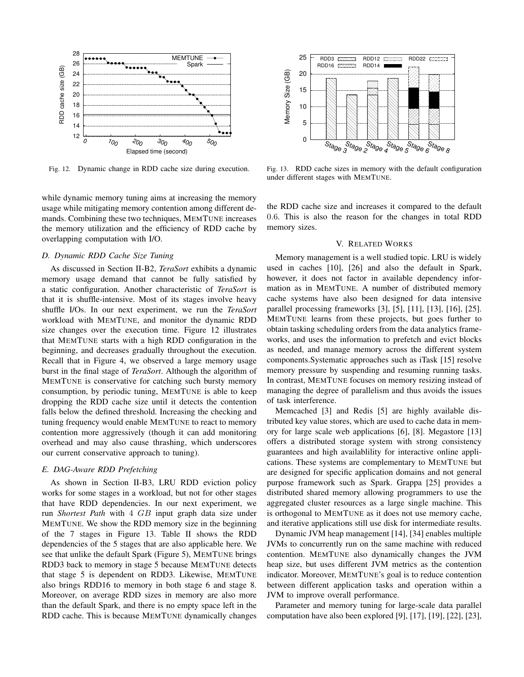

Fig. 12. Dynamic change in RDD cache size during execution.

while dynamic memory tuning aims at increasing the memory usage while mitigating memory contention among different demands. Combining these two techniques, MEMTUNE increases the memory utilization and the efficiency of RDD cache by overlapping computation with I/O.

## *D. Dynamic RDD Cache Size Tuning*

As discussed in Section II-B2, *TeraSort* exhibits a dynamic memory usage demand that cannot be fully satisfied by a static configuration. Another characteristic of *TeraSort* is that it is shuffle-intensive. Most of its stages involve heavy shuffle I/Os. In our next experiment, we run the *TeraSort* workload with MEMTUNE, and monitor the dynamic RDD size changes over the execution time. Figure 12 illustrates that MEMTUNE starts with a high RDD configuration in the beginning, and decreases gradually throughout the execution. Recall that in Figure 4, we observed a large memory usage burst in the final stage of *TeraSort*. Although the algorithm of MEMTUNE is conservative for catching such bursty memory consumption, by periodic tuning, MEMTUNE is able to keep dropping the RDD cache size until it detects the contention falls below the defined threshold. Increasing the checking and tuning frequency would enable MEMTUNE to react to memory contention more aggressively (though it can add monitoring overhead and may also cause thrashing, which underscores our current conservative approach to tuning).

## *E. DAG-Aware RDD Prefetching*

As shown in Section II-B3, LRU RDD eviction policy works for some stages in a workload, but not for other stages that have RDD dependencies. In our next experiment, we run *Shortest Path* with 4 GB input graph data size under MEMTUNE. We show the RDD memory size in the beginning of the 7 stages in Figure 13. Table II shows the RDD dependencies of the 5 stages that are also applicable here. We see that unlike the default Spark (Figure 5), MEMTUNE brings RDD3 back to memory in stage 5 because MEMTUNE detects that stage 5 is dependent on RDD3. Likewise, MEMTUNE also brings RDD16 to memory in both stage 6 and stage 8. Moreover, on average RDD sizes in memory are also more than the default Spark, and there is no empty space left in the RDD cache. This is because MEMTUNE dynamically changes



Fig. 13. RDD cache sizes in memory with the default configuration under different stages with MEMTUNE.

the RDD cache size and increases it compared to the default 0.6. This is also the reason for the changes in total RDD memory sizes.

## V. RELATED WORKS

Memory management is a well studied topic. LRU is widely used in caches [10], [26] and also the default in Spark, however, it does not factor in available dependency information as in MEMTUNE. A number of distributed memory cache systems have also been designed for data intensive parallel processing frameworks [3], [5], [11], [13], [16], [25]. MEMTUNE learns from these projects, but goes further to obtain tasking scheduling orders from the data analytics frameworks, and uses the information to prefetch and evict blocks as needed, and manage memory across the different system components.Systematic approaches such as iTask [15] resolve memory pressure by suspending and resuming running tasks. In contrast, MEMTUNE focuses on memory resizing instead of managing the degree of parallelism and thus avoids the issues of task interference.

Memcached [3] and Redis [5] are highly available distributed key value stores, which are used to cache data in memory for large scale web applications [6], [8]. Megastore [13] offers a distributed storage system with strong consistency guarantees and high availablility for interactive online applications. These systems are complementary to MEMTUNE but are designed for specific application domains and not general purpose framework such as Spark. Grappa [25] provides a distributed shared memory allowing programmers to use the aggregated cluster resources as a large single machine. This is orthogonal to MEMTUNE as it does not use memory cache, and iterative applications still use disk for intermediate results.

Dynamic JVM heap management [14], [34] enables multiple JVMs to concurrently run on the same machine with reduced contention. MEMTUNE also dynamically changes the JVM heap size, but uses different JVM metrics as the contention indicator. Moreover, MEMTUNE's goal is to reduce contention between different application tasks and operation within a JVM to improve overall performance.

Parameter and memory tuning for large-scale data parallel computation have also been explored [9], [17], [19], [22], [23],